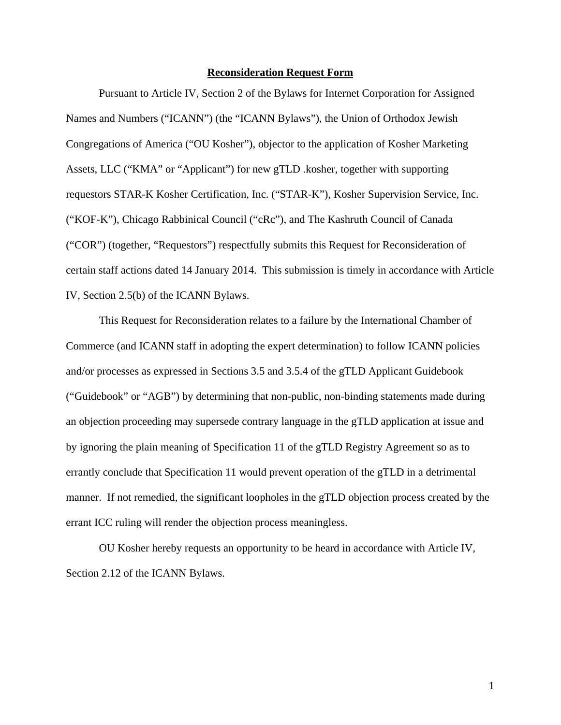#### **Reconsideration Request Form**

Pursuant to Article IV, Section 2 of the Bylaws for Internet Corporation for Assigned Names and Numbers ("ICANN") (the "ICANN Bylaws"), the Union of Orthodox Jewish Congregations of America ("OU Kosher"), objector to the application of Kosher Marketing Assets, LLC ("KMA" or "Applicant") for new gTLD .kosher, together with supporting requestors STAR-K Kosher Certification, Inc. ("STAR-K"), Kosher Supervision Service, Inc. ("KOF-K"), Chicago Rabbinical Council ("cRc"), and The Kashruth Council of Canada ("COR") (together, "Requestors") respectfully submits this Request for Reconsideration of certain staff actions dated 14 January 2014. This submission is timely in accordance with Article IV, Section 2.5(b) of the ICANN Bylaws.

 This Request for Reconsideration relates to a failure by the International Chamber of Commerce (and ICANN staff in adopting the expert determination) to follow ICANN policies and/or processes as expressed in Sections 3.5 and 3.5.4 of the gTLD Applicant Guidebook ("Guidebook" or "AGB") by determining that non-public, non-binding statements made during an objection proceeding may supersede contrary language in the gTLD application at issue and by ignoring the plain meaning of Specification 11 of the gTLD Registry Agreement so as to errantly conclude that Specification 11 would prevent operation of the gTLD in a detrimental manner. If not remedied, the significant loopholes in the gTLD objection process created by the errant ICC ruling will render the objection process meaningless.

 OU Kosher hereby requests an opportunity to be heard in accordance with Article IV, Section 2.12 of the ICANN Bylaws.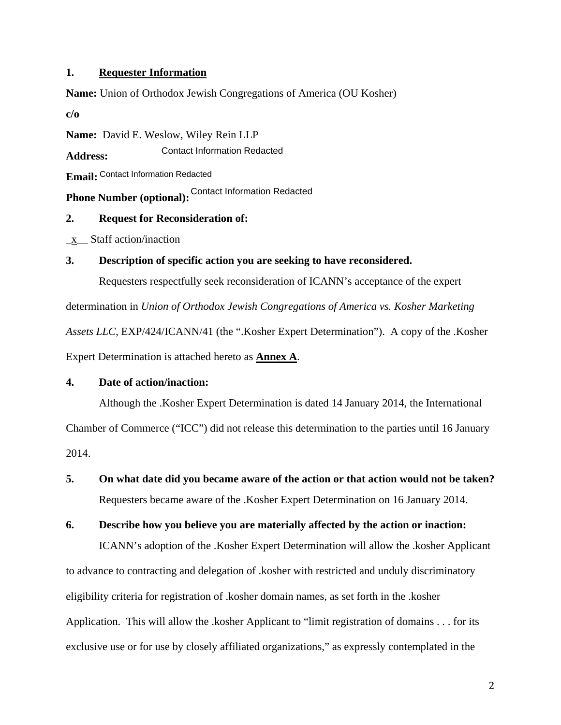## **1. Requester Information**

**Name:** Union of Orthodox Jewish Congregations of America (OU Kosher)

**c/o** 

**Name:** David E. Weslow, Wiley Rein LLP

**Address:**  Contact Information Redacted

**Email:**  Contact Information Redacted

**Phone Number (optional):** Contact Information Redacted

## **2. Request for Reconsideration of:**

\_x\_\_ Staff action/inaction

# **3. Description of specific action you are seeking to have reconsidered.**

Requesters respectfully seek reconsideration of ICANN's acceptance of the expert

determination in *Union of Orthodox Jewish Congregations of America vs. Kosher Marketing Assets LLC*, EXP/424/ICANN/41 (the ".Kosher Expert Determination"). A copy of the .Kosher Expert Determination is attached hereto as **Annex A**.

# **4. Date of action/inaction:**

 Although the .Kosher Expert Determination is dated 14 January 2014, the International Chamber of Commerce ("ICC") did not release this determination to the parties until 16 January 2014.

**5. On what date did you became aware of the action or that action would not be taken?**  Requesters became aware of the .Kosher Expert Determination on 16 January 2014.

## **6. Describe how you believe you are materially affected by the action or inaction:**

 ICANN's adoption of the .Kosher Expert Determination will allow the .kosher Applicant to advance to contracting and delegation of .kosher with restricted and unduly discriminatory eligibility criteria for registration of .kosher domain names, as set forth in the .kosher Application. This will allow the .kosher Applicant to "limit registration of domains . . . for its exclusive use or for use by closely affiliated organizations," as expressly contemplated in the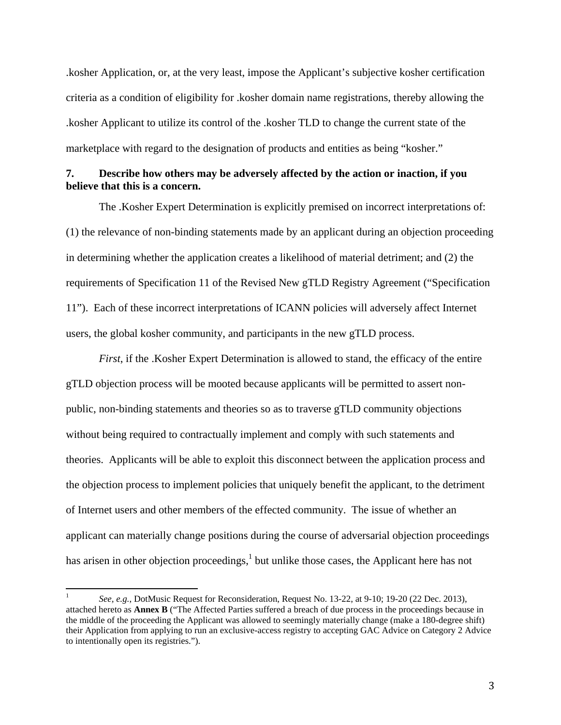.kosher Application, or, at the very least, impose the Applicant's subjective kosher certification criteria as a condition of eligibility for .kosher domain name registrations, thereby allowing the .kosher Applicant to utilize its control of the .kosher TLD to change the current state of the marketplace with regard to the designation of products and entities as being "kosher."

#### **7. Describe how others may be adversely affected by the action or inaction, if you believe that this is a concern.**

 The .Kosher Expert Determination is explicitly premised on incorrect interpretations of: (1) the relevance of non-binding statements made by an applicant during an objection proceeding in determining whether the application creates a likelihood of material detriment; and (2) the requirements of Specification 11 of the Revised New gTLD Registry Agreement ("Specification 11"). Each of these incorrect interpretations of ICANN policies will adversely affect Internet users, the global kosher community, and participants in the new gTLD process.

 *First*, if the .Kosher Expert Determination is allowed to stand, the efficacy of the entire gTLD objection process will be mooted because applicants will be permitted to assert nonpublic, non-binding statements and theories so as to traverse gTLD community objections without being required to contractually implement and comply with such statements and theories. Applicants will be able to exploit this disconnect between the application process and the objection process to implement policies that uniquely benefit the applicant, to the detriment of Internet users and other members of the effected community. The issue of whether an applicant can materially change positions during the course of adversarial objection proceedings has arisen in other objection proceedings, $<sup>1</sup>$  but unlike those cases, the Applicant here has not</sup>

<sup>1</sup> *See, e.g.*, DotMusic Request for Reconsideration, Request No. 13-22, at 9-10; 19-20 (22 Dec. 2013), attached hereto as **Annex B** ("The Affected Parties suffered a breach of due process in the proceedings because in the middle of the proceeding the Applicant was allowed to seemingly materially change (make a 180-degree shift) their Application from applying to run an exclusive-access registry to accepting GAC Advice on Category 2 Advice to intentionally open its registries.").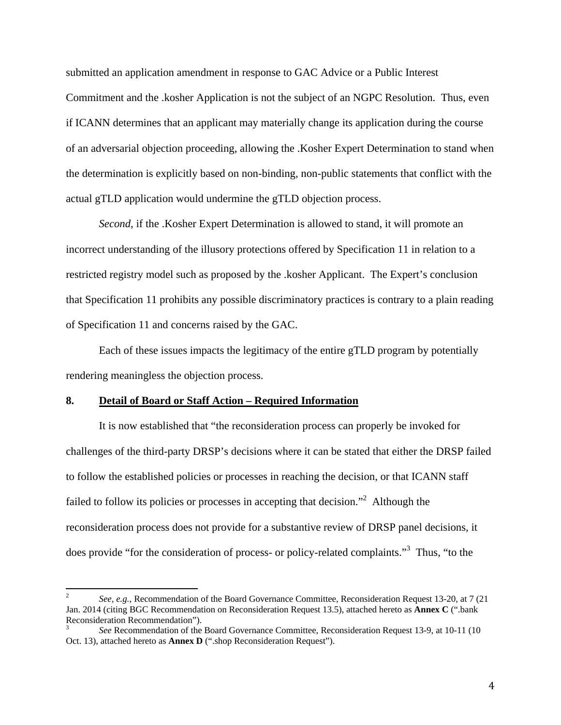submitted an application amendment in response to GAC Advice or a Public Interest Commitment and the .kosher Application is not the subject of an NGPC Resolution. Thus, even if ICANN determines that an applicant may materially change its application during the course of an adversarial objection proceeding, allowing the .Kosher Expert Determination to stand when the determination is explicitly based on non-binding, non-public statements that conflict with the actual gTLD application would undermine the gTLD objection process.

*Second*, if the .Kosher Expert Determination is allowed to stand, it will promote an incorrect understanding of the illusory protections offered by Specification 11 in relation to a restricted registry model such as proposed by the .kosher Applicant. The Expert's conclusion that Specification 11 prohibits any possible discriminatory practices is contrary to a plain reading of Specification 11 and concerns raised by the GAC.

 Each of these issues impacts the legitimacy of the entire gTLD program by potentially rendering meaningless the objection process.

#### **8. Detail of Board or Staff Action – Required Information**

 

 It is now established that "the reconsideration process can properly be invoked for challenges of the third-party DRSP's decisions where it can be stated that either the DRSP failed to follow the established policies or processes in reaching the decision, or that ICANN staff failed to follow its policies or processes in accepting that decision."<sup>2</sup> Although the reconsideration process does not provide for a substantive review of DRSP panel decisions, it does provide "for the consideration of process- or policy-related complaints."<sup>3</sup> Thus, "to the

<sup>2</sup> *See, e.g.*, Recommendation of the Board Governance Committee, Reconsideration Request 13-20, at 7 (21 Jan. 2014 (citing BGC Recommendation on Reconsideration Request 13.5), attached hereto as **Annex C** (".bank Reconsideration Recommendation").

<sup>3</sup> *See* Recommendation of the Board Governance Committee, Reconsideration Request 13-9, at 10-11 (10 Oct. 13), attached hereto as **Annex D** (".shop Reconsideration Request").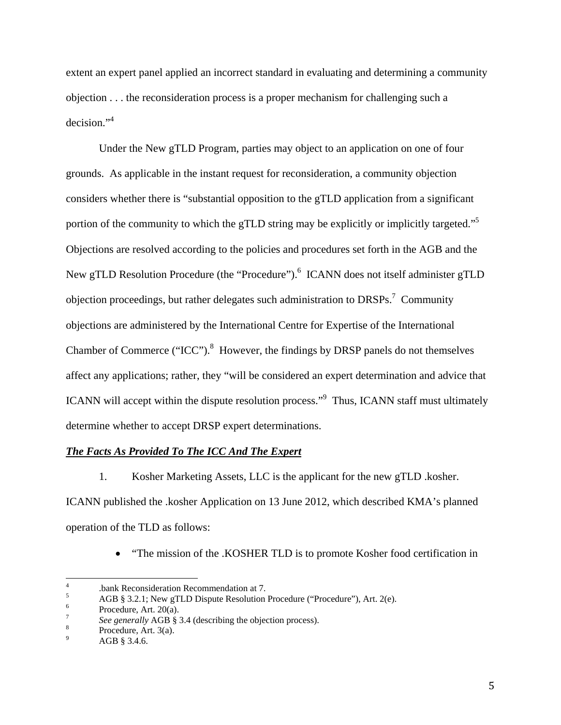extent an expert panel applied an incorrect standard in evaluating and determining a community objection . . . the reconsideration process is a proper mechanism for challenging such a decision."4

 Under the New gTLD Program, parties may object to an application on one of four grounds. As applicable in the instant request for reconsideration, a community objection considers whether there is "substantial opposition to the gTLD application from a significant portion of the community to which the gTLD string may be explicitly or implicitly targeted."<sup>5</sup> Objections are resolved according to the policies and procedures set forth in the AGB and the New gTLD Resolution Procedure (the "Procedure").<sup>6</sup> ICANN does not itself administer gTLD objection proceedings, but rather delegates such administration to  $DRSPs.<sup>7</sup>$  Community objections are administered by the International Centre for Expertise of the International Chamber of Commerce ("ICC"). $<sup>8</sup>$  However, the findings by DRSP panels do not themselves</sup> affect any applications; rather, they "will be considered an expert determination and advice that ICANN will accept within the dispute resolution process."<sup>9</sup> Thus, ICANN staff must ultimately determine whether to accept DRSP expert determinations.

#### *The Facts As Provided To The ICC And The Expert*

1. Kosher Marketing Assets, LLC is the applicant for the new gTLD .kosher.

ICANN published the .kosher Application on 13 June 2012, which described KMA's planned operation of the TLD as follows:

"The mission of the .KOSHER TLD is to promote Kosher food certification in

<sup>4</sup> .bank Reconsideration Recommendation at 7.

<sup>5</sup> AGB § 3.2.1; New gTLD Dispute Resolution Procedure ("Procedure"), Art. 2(e).

<sup>6</sup> Procedure, Art. 20(a).

<sup>7</sup> *See generally* AGB § 3.4 (describing the objection process).<br><sup>8</sup> Procedure Art 3(a)

Procedure, Art. 3(a).

<sup>9</sup> AGB § 3.4.6.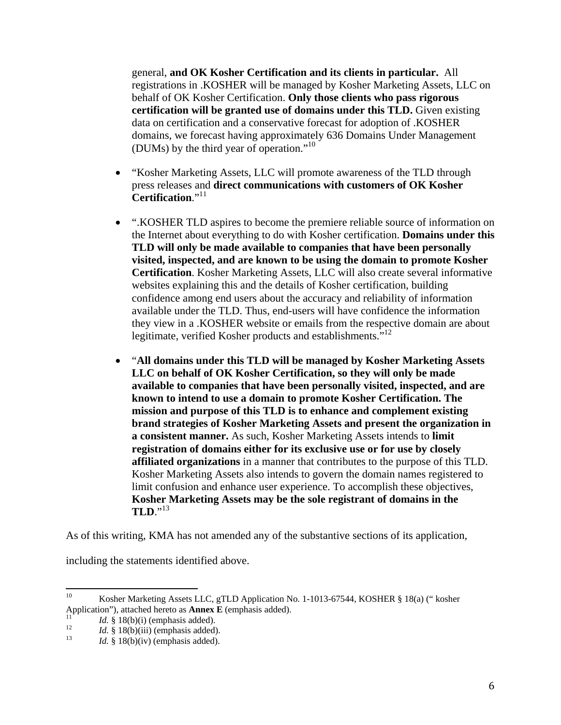general, **and OK Kosher Certification and its clients in particular.** All registrations in .KOSHER will be managed by Kosher Marketing Assets, LLC on behalf of OK Kosher Certification. **Only those clients who pass rigorous certification will be granted use of domains under this TLD.** Given existing data on certification and a conservative forecast for adoption of .KOSHER domains, we forecast having approximately 636 Domains Under Management (DUMs) by the third year of operation."10

- "Kosher Marketing Assets, LLC will promote awareness of the TLD through press releases and **direct communications with customers of OK Kosher Certification.**"11
- ".KOSHER TLD aspires to become the premiere reliable source of information on the Internet about everything to do with Kosher certification. **Domains under this TLD will only be made available to companies that have been personally visited, inspected, and are known to be using the domain to promote Kosher Certification**. Kosher Marketing Assets, LLC will also create several informative websites explaining this and the details of Kosher certification, building confidence among end users about the accuracy and reliability of information available under the TLD. Thus, end-users will have confidence the information they view in a .KOSHER website or emails from the respective domain are about legitimate, verified Kosher products and establishments."<sup>12</sup>
- "**All domains under this TLD will be managed by Kosher Marketing Assets LLC on behalf of OK Kosher Certification, so they will only be made available to companies that have been personally visited, inspected, and are known to intend to use a domain to promote Kosher Certification. The mission and purpose of this TLD is to enhance and complement existing brand strategies of Kosher Marketing Assets and present the organization in a consistent manner.** As such, Kosher Marketing Assets intends to **limit registration of domains either for its exclusive use or for use by closely affiliated organizations** in a manner that contributes to the purpose of this TLD. Kosher Marketing Assets also intends to govern the domain names registered to limit confusion and enhance user experience. To accomplish these objectives, **Kosher Marketing Assets may be the sole registrant of domains in the TLD**."<sup>13</sup>

As of this writing, KMA has not amended any of the substantive sections of its application,

including the statements identified above.

<sup>&</sup>lt;sup>10</sup> Kosher Marketing Assets LLC, gTLD Application No. 1-1013-67544, KOSHER § 18(a) (" kosher Application"), attached hereto as **Annex E** (emphasis added).<br>
<sup>11</sup> *Id.* § 18(b)(ii) (emphasis added).<br>
<sup>13</sup> *Id.* § 18(b)(iv) (emphasis added).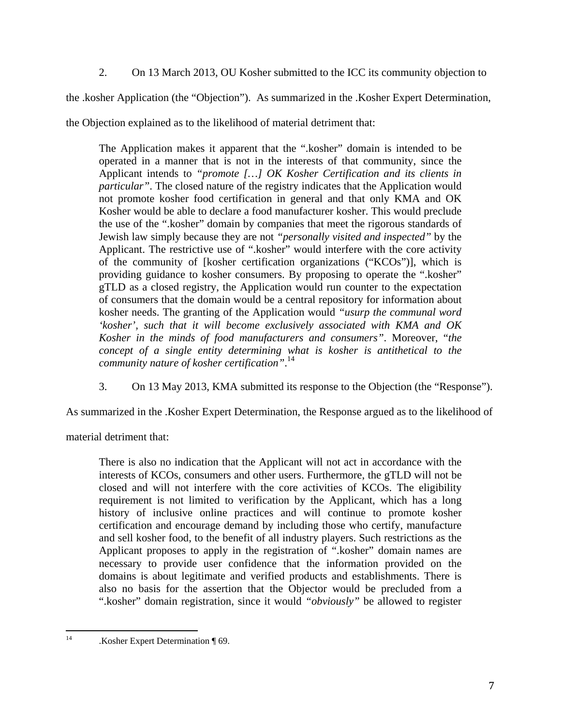2. On 13 March 2013, OU Kosher submitted to the ICC its community objection to

the .kosher Application (the "Objection"). As summarized in the .Kosher Expert Determination,

the Objection explained as to the likelihood of material detriment that:

The Application makes it apparent that the ".kosher" domain is intended to be operated in a manner that is not in the interests of that community, since the Applicant intends to *"promote […] OK Kosher Certification and its clients in particular*". The closed nature of the registry indicates that the Application would not promote kosher food certification in general and that only KMA and OK Kosher would be able to declare a food manufacturer kosher. This would preclude the use of the ".kosher" domain by companies that meet the rigorous standards of Jewish law simply because they are not *"personally visited and inspected"* by the Applicant. The restrictive use of ".kosher" would interfere with the core activity of the community of [kosher certification organizations ("KCOs")], which is providing guidance to kosher consumers. By proposing to operate the ".kosher" gTLD as a closed registry, the Application would run counter to the expectation of consumers that the domain would be a central repository for information about kosher needs. The granting of the Application would *"usurp the communal word 'kosher', such that it will become exclusively associated with KMA and OK Kosher in the minds of food manufacturers and consumers"*. Moreover, "*the concept of a single entity determining what is kosher is antithetical to the community nature of kosher certification"*. 14

3. On 13 May 2013, KMA submitted its response to the Objection (the "Response").

As summarized in the .Kosher Expert Determination, the Response argued as to the likelihood of

material detriment that:

There is also no indication that the Applicant will not act in accordance with the interests of KCOs, consumers and other users. Furthermore, the gTLD will not be closed and will not interfere with the core activities of KCOs. The eligibility requirement is not limited to verification by the Applicant, which has a long history of inclusive online practices and will continue to promote kosher certification and encourage demand by including those who certify, manufacture and sell kosher food, to the benefit of all industry players. Such restrictions as the Applicant proposes to apply in the registration of ".kosher" domain names are necessary to provide user confidence that the information provided on the domains is about legitimate and verified products and establishments. There is also no basis for the assertion that the Objector would be precluded from a ".kosher" domain registration, since it would *"obviously"* be allowed to register

<sup>&</sup>lt;sup>14</sup> .Kosher Expert Determination ¶ 69.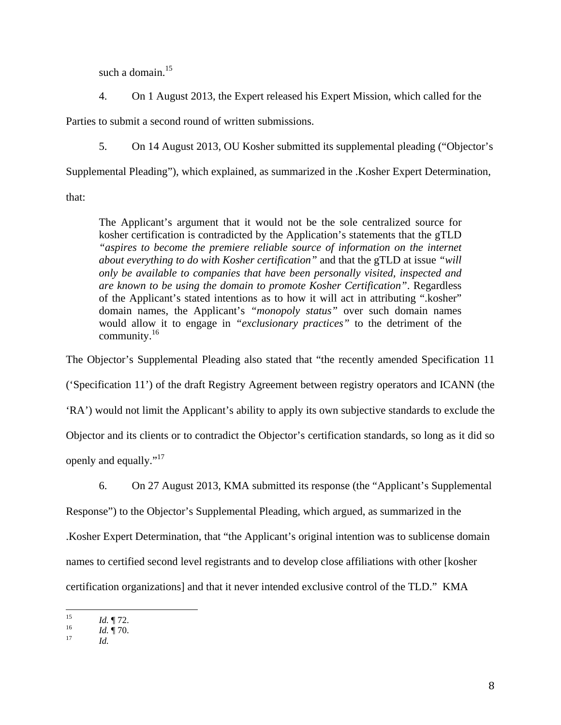such a domain. $15$ 

4. On 1 August 2013, the Expert released his Expert Mission, which called for the

Parties to submit a second round of written submissions.

5. On 14 August 2013, OU Kosher submitted its supplemental pleading ("Objector's

Supplemental Pleading"), which explained, as summarized in the .Kosher Expert Determination,

that:

The Applicant's argument that it would not be the sole centralized source for kosher certification is contradicted by the Application's statements that the gTLD *aspires to become the premiere reliable source of information on the internet about everything to do with Kosher certification"* and that the gTLD at issue *"will only be available to companies that have been personally visited, inspected and are known to be using the domain to promote Kosher Certification"*. Regardless of the Applicant's stated intentions as to how it will act in attributing ".kosher" domain names, the Applicant's *"monopoly status"* over such domain names would allow it to engage in *"exclusionary practices"* to the detriment of the community. $16$ 

The Objector's Supplemental Pleading also stated that "the recently amended Specification 11 ('Specification 11') of the draft Registry Agreement between registry operators and ICANN (the 'RA') would not limit the Applicant's ability to apply its own subjective standards to exclude the Objector and its clients or to contradict the Objector's certification standards, so long as it did so openly and equally."<sup>17</sup>

6. On 27 August 2013, KMA submitted its response (the "Applicant's Supplemental

Response") to the Objector's Supplemental Pleading, which argued, as summarized in the

.Kosher Expert Determination, that "the Applicant's original intention was to sublicense domain

names to certified second level registrants and to develop close affiliations with other [kosher

certification organizations] and that it never intended exclusive control of the TLD." KMA

 15<br>
16<br>
17<br> *Id.* **17**<br> *Id.*<br> *Id.*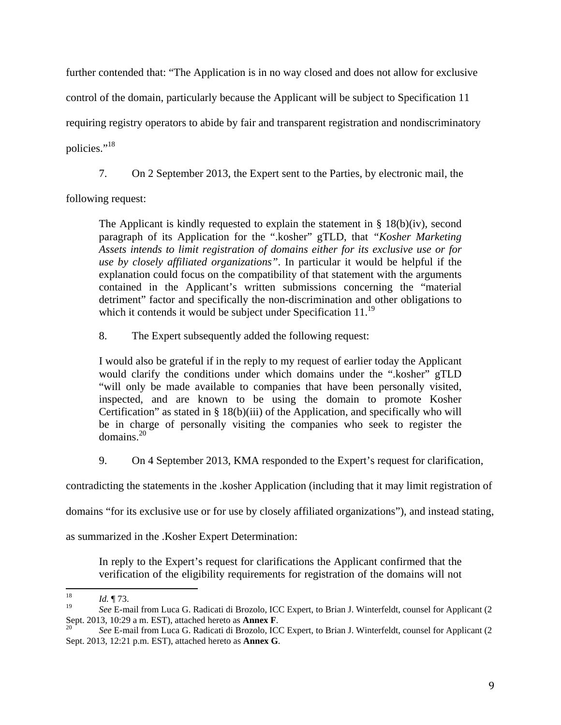further contended that: "The Application is in no way closed and does not allow for exclusive

control of the domain, particularly because the Applicant will be subject to Specification 11

requiring registry operators to abide by fair and transparent registration and nondiscriminatory

policies."<sup>18</sup>

7. On 2 September 2013, the Expert sent to the Parties, by electronic mail, the

following request:

The Applicant is kindly requested to explain the statement in  $\S 18(b)(iv)$ , second paragraph of its Application for the ".kosher" gTLD, that "Kosher Marketing *Assets intends to limit registration of domains either for its exclusive use or for use by closely affiliated organizations"*. In particular it would be helpful if the explanation could focus on the compatibility of that statement with the arguments contained in the Applicant's written submissions concerning the "material detriment" factor and specifically the non-discrimination and other obligations to which it contends it would be subject under Specification  $11.^{19}$ 

8. The Expert subsequently added the following request:

I would also be grateful if in the reply to my request of earlier today the Applicant would clarify the conditions under which domains under the ".kosher" gTLD "will only be made available to companies that have been personally visited, inspected, and are known to be using the domain to promote Kosher Certification" as stated in § 18(b)(iii) of the Application, and specifically who will be in charge of personally visiting the companies who seek to register the domains.20

9. On 4 September 2013, KMA responded to the Expert's request for clarification,

contradicting the statements in the .kosher Application (including that it may limit registration of

domains "for its exclusive use or for use by closely affiliated organizations"), and instead stating,

as summarized in the .Kosher Expert Determination:

In reply to the Expert's request for clarifications the Applicant confirmed that the verification of the eligibility requirements for registration of the domains will not

  $\frac{18}{19}$  *Id.* 173.

<sup>19</sup> *See* E-mail from Luca G. Radicati di Brozolo, ICC Expert, to Brian J. Winterfeldt, counsel for Applicant (2 Sept. 2013, 10:29 a m. EST), attached hereto as **Annex F**.<br><sup>20</sup> *See* E-mail from Luca G. Radicati di Brozolo, ICC Expert, to Brian J. Winterfeldt, counsel for Applicant (2

Sept. 2013, 12:21 p.m. EST), attached hereto as **Annex G**.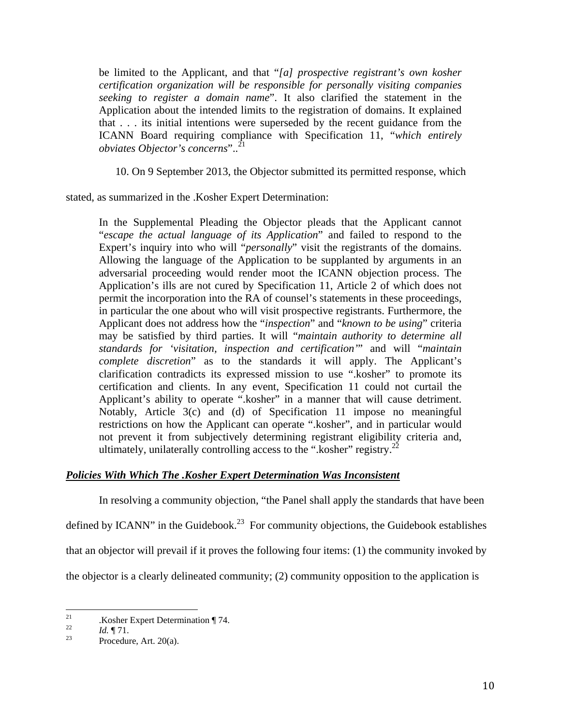be limited to the Applicant, and that "*[a] prospective registrant's own kosher certification organization will be responsible for personally visiting companies seeking to register a domain name*". It also clarified the statement in the Application about the intended limits to the registration of domains. It explained that . . . its initial intentions were superseded by the recent guidance from the ICANN Board requiring compliance with Specification 11, "*which entirely obviates Objector's concerns*"..21

10. On 9 September 2013, the Objector submitted its permitted response, which

stated, as summarized in the .Kosher Expert Determination:

In the Supplemental Pleading the Objector pleads that the Applicant cannot "*escape the actual language of its Application*" and failed to respond to the Expert's inquiry into who will "*personally*" visit the registrants of the domains. Allowing the language of the Application to be supplanted by arguments in an adversarial proceeding would render moot the ICANN objection process. The Application's ills are not cured by Specification 11, Article 2 of which does not permit the incorporation into the RA of counsel's statements in these proceedings, in particular the one about who will visit prospective registrants. Furthermore, the Applicant does not address how the "*inspection*" and "*known to be using*" criteria may be satisfied by third parties. It will "*maintain authority to determine all standards for 'visitation, inspection and certification'*" and will "*maintain complete discretion*" as to the standards it will apply. The Applicant's clarification contradicts its expressed mission to use ".kosher" to promote its certification and clients. In any event, Specification 11 could not curtail the Applicant's ability to operate ".kosher" in a manner that will cause detriment. Notably, Article 3(c) and (d) of Specification 11 impose no meaningful restrictions on how the Applicant can operate ".kosher", and in particular would not prevent it from subjectively determining registrant eligibility criteria and, ultimately, unilaterally controlling access to the ".kosher" registry.<sup>22</sup>

## *Policies With Which The .Kosher Expert Determination Was Inconsistent*

 In resolving a community objection, "the Panel shall apply the standards that have been defined by ICANN" in the Guidebook.<sup>23</sup> For community objections, the Guidebook establishes that an objector will prevail if it proves the following four items: (1) the community invoked by the objector is a clearly delineated community; (2) community opposition to the application is

<sup>&</sup>lt;sup>21</sup> .Kosher Expert Determination ¶ 74.

<sup>&</sup>lt;sup>22</sup> *Id.*  $\P$  71.<br><sup>23</sup> Procedure, Art. 20(a).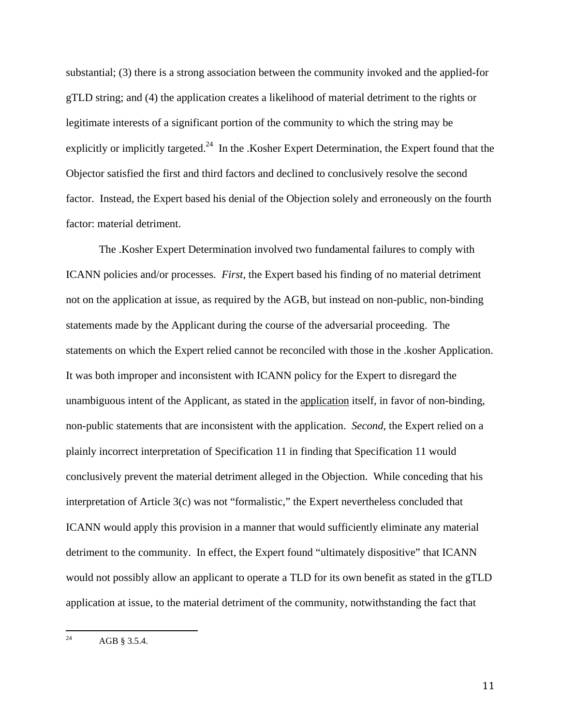substantial; (3) there is a strong association between the community invoked and the applied-for gTLD string; and (4) the application creates a likelihood of material detriment to the rights or legitimate interests of a significant portion of the community to which the string may be explicitly or implicitly targeted.<sup>24</sup> In the .Kosher Expert Determination, the Expert found that the Objector satisfied the first and third factors and declined to conclusively resolve the second factor. Instead, the Expert based his denial of the Objection solely and erroneously on the fourth factor: material detriment.

 The .Kosher Expert Determination involved two fundamental failures to comply with ICANN policies and/or processes. *First*, the Expert based his finding of no material detriment not on the application at issue, as required by the AGB, but instead on non-public, non-binding statements made by the Applicant during the course of the adversarial proceeding. The statements on which the Expert relied cannot be reconciled with those in the .kosher Application. It was both improper and inconsistent with ICANN policy for the Expert to disregard the unambiguous intent of the Applicant, as stated in the application itself, in favor of non-binding, non-public statements that are inconsistent with the application. *Second*, the Expert relied on a plainly incorrect interpretation of Specification 11 in finding that Specification 11 would conclusively prevent the material detriment alleged in the Objection. While conceding that his interpretation of Article 3(c) was not "formalistic," the Expert nevertheless concluded that ICANN would apply this provision in a manner that would sufficiently eliminate any material detriment to the community. In effect, the Expert found "ultimately dispositive" that ICANN would not possibly allow an applicant to operate a TLD for its own benefit as stated in the gTLD application at issue, to the material detriment of the community, notwithstanding the fact that

 

<sup>&</sup>lt;sup>24</sup> AGB § 3.5.4.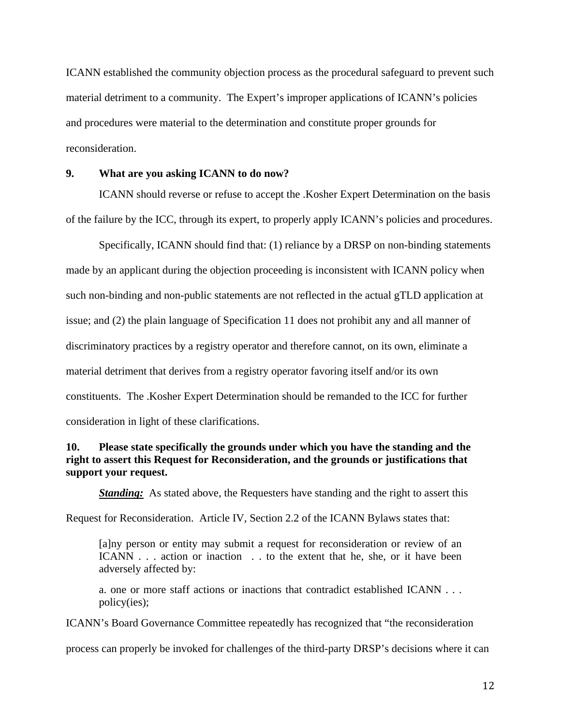ICANN established the community objection process as the procedural safeguard to prevent such material detriment to a community. The Expert's improper applications of ICANN's policies and procedures were material to the determination and constitute proper grounds for reconsideration.

## **9. What are you asking ICANN to do now?**

 ICANN should reverse or refuse to accept the .Kosher Expert Determination on the basis of the failure by the ICC, through its expert, to properly apply ICANN's policies and procedures.

 Specifically, ICANN should find that: (1) reliance by a DRSP on non-binding statements made by an applicant during the objection proceeding is inconsistent with ICANN policy when such non-binding and non-public statements are not reflected in the actual gTLD application at issue; and (2) the plain language of Specification 11 does not prohibit any and all manner of discriminatory practices by a registry operator and therefore cannot, on its own, eliminate a material detriment that derives from a registry operator favoring itself and/or its own constituents. The .Kosher Expert Determination should be remanded to the ICC for further consideration in light of these clarifications.

## **10. Please state specifically the grounds under which you have the standing and the right to assert this Request for Reconsideration, and the grounds or justifications that support your request.**

*Standing:* As stated above, the Requesters have standing and the right to assert this

Request for Reconsideration. Article IV, Section 2.2 of the ICANN Bylaws states that:

[a]ny person or entity may submit a request for reconsideration or review of an ICANN . . . action or inaction . . to the extent that he, she, or it have been adversely affected by:

a. one or more staff actions or inactions that contradict established ICANN . . . policy(ies);

ICANN's Board Governance Committee repeatedly has recognized that "the reconsideration

process can properly be invoked for challenges of the third-party DRSP's decisions where it can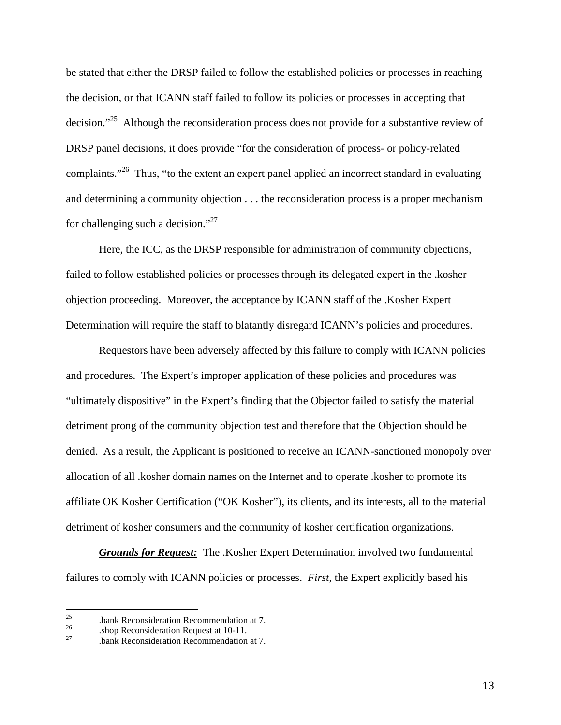be stated that either the DRSP failed to follow the established policies or processes in reaching the decision, or that ICANN staff failed to follow its policies or processes in accepting that decision."<sup>25</sup> Although the reconsideration process does not provide for a substantive review of DRSP panel decisions, it does provide "for the consideration of process- or policy-related complaints."<sup>26</sup> Thus, "to the extent an expert panel applied an incorrect standard in evaluating and determining a community objection . . . the reconsideration process is a proper mechanism for challenging such a decision."27

 Here, the ICC, as the DRSP responsible for administration of community objections, failed to follow established policies or processes through its delegated expert in the .kosher objection proceeding. Moreover, the acceptance by ICANN staff of the .Kosher Expert Determination will require the staff to blatantly disregard ICANN's policies and procedures.

 Requestors have been adversely affected by this failure to comply with ICANN policies and procedures. The Expert's improper application of these policies and procedures was "ultimately dispositive" in the Expert's finding that the Objector failed to satisfy the material detriment prong of the community objection test and therefore that the Objection should be denied. As a result, the Applicant is positioned to receive an ICANN-sanctioned monopoly over allocation of all .kosher domain names on the Internet and to operate .kosher to promote its affiliate OK Kosher Certification ("OK Kosher"), its clients, and its interests, all to the material detriment of kosher consumers and the community of kosher certification organizations.

 *Grounds for Request:* The .Kosher Expert Determination involved two fundamental failures to comply with ICANN policies or processes. *First*, the Expert explicitly based his

 

<sup>&</sup>lt;sup>25</sup> .bank Reconsideration Recommendation at 7.<br><sup>26</sup> .bank Reconsideration Request at 10-11.<br><sup>27</sup> .bank Reconsideration Recommendation at 7.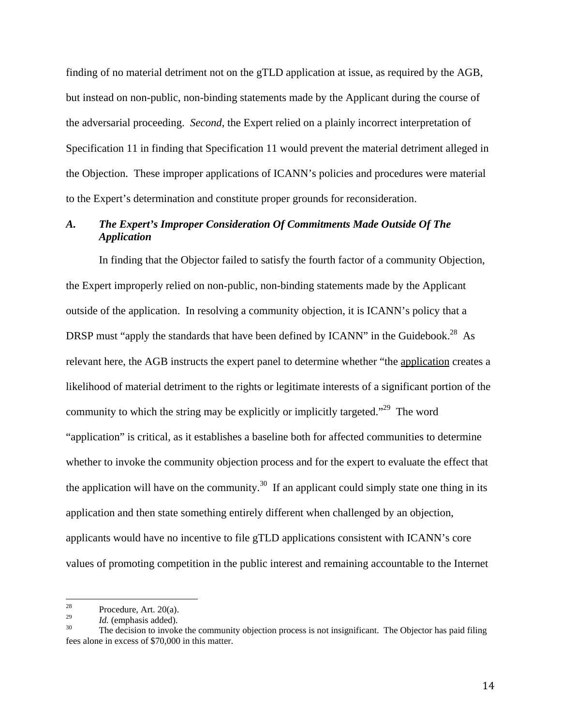finding of no material detriment not on the gTLD application at issue, as required by the AGB, but instead on non-public, non-binding statements made by the Applicant during the course of the adversarial proceeding. *Second*, the Expert relied on a plainly incorrect interpretation of Specification 11 in finding that Specification 11 would prevent the material detriment alleged in the Objection. These improper applications of ICANN's policies and procedures were material to the Expert's determination and constitute proper grounds for reconsideration.

# *A. The Expert's Improper Consideration Of Commitments Made Outside Of The Application*

 In finding that the Objector failed to satisfy the fourth factor of a community Objection, the Expert improperly relied on non-public, non-binding statements made by the Applicant outside of the application. In resolving a community objection, it is ICANN's policy that a DRSP must "apply the standards that have been defined by ICANN" in the Guidebook.<sup>28</sup> As relevant here, the AGB instructs the expert panel to determine whether "the application creates a likelihood of material detriment to the rights or legitimate interests of a significant portion of the community to which the string may be explicitly or implicitly targeted."<sup>29</sup> The word "application" is critical, as it establishes a baseline both for affected communities to determine whether to invoke the community objection process and for the expert to evaluate the effect that the application will have on the community.<sup>30</sup> If an applicant could simply state one thing in its application and then state something entirely different when challenged by an objection, applicants would have no incentive to file gTLD applications consistent with ICANN's core values of promoting competition in the public interest and remaining accountable to the Internet

<sup>&</sup>lt;sup>28</sup> Procedure, Art. 20(a).

<sup>&</sup>lt;sup>29</sup> *Id.* (emphasis added).<br><sup>30</sup> The decision to invoke the community objection process is not insignificant. The Objector has paid filing fees alone in excess of \$70,000 in this matter.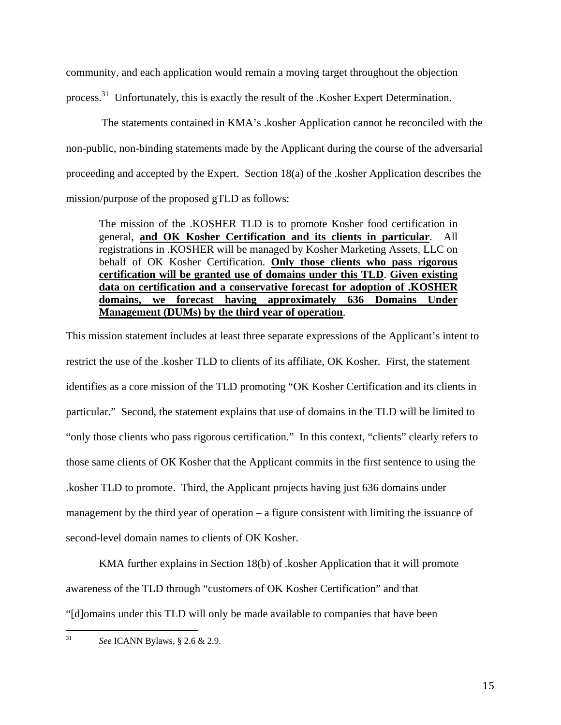community, and each application would remain a moving target throughout the objection process.<sup>31</sup> Unfortunately, this is exactly the result of the .Kosher Expert Determination.

 The statements contained in KMA's .kosher Application cannot be reconciled with the non-public, non-binding statements made by the Applicant during the course of the adversarial proceeding and accepted by the Expert. Section 18(a) of the .kosher Application describes the mission/purpose of the proposed gTLD as follows:

The mission of the .KOSHER TLD is to promote Kosher food certification in general, **and OK Kosher Certification and its clients in particular**. All registrations in .KOSHER will be managed by Kosher Marketing Assets, LLC on behalf of OK Kosher Certification. **Only those clients who pass rigorous certification will be granted use of domains under this TLD**. **Given existing data on certification and a conservative forecast for adoption of .KOSHER domains, we forecast having approximately 636 Domains Under Management (DUMs) by the third year of operation**.

This mission statement includes at least three separate expressions of the Applicant's intent to restrict the use of the .kosher TLD to clients of its affiliate, OK Kosher. First, the statement identifies as a core mission of the TLD promoting "OK Kosher Certification and its clients in particular." Second, the statement explains that use of domains in the TLD will be limited to "only those clients who pass rigorous certification." In this context, "clients" clearly refers to those same clients of OK Kosher that the Applicant commits in the first sentence to using the .kosher TLD to promote. Third, the Applicant projects having just 636 domains under management by the third year of operation – a figure consistent with limiting the issuance of second-level domain names to clients of OK Kosher.

 KMA further explains in Section 18(b) of .kosher Application that it will promote awareness of the TLD through "customers of OK Kosher Certification" and that "[d]omains under this TLD will only be made available to companies that have been

 31 *See* ICANN Bylaws, § 2.6 & 2.9.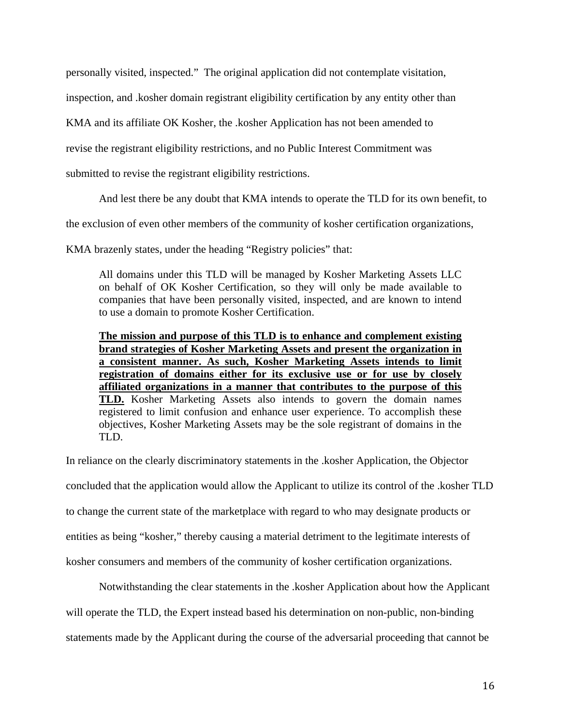personally visited, inspected." The original application did not contemplate visitation,

inspection, and .kosher domain registrant eligibility certification by any entity other than

KMA and its affiliate OK Kosher, the .kosher Application has not been amended to

revise the registrant eligibility restrictions, and no Public Interest Commitment was

submitted to revise the registrant eligibility restrictions.

And lest there be any doubt that KMA intends to operate the TLD for its own benefit, to

the exclusion of even other members of the community of kosher certification organizations,

KMA brazenly states, under the heading "Registry policies" that:

All domains under this TLD will be managed by Kosher Marketing Assets LLC on behalf of OK Kosher Certification, so they will only be made available to companies that have been personally visited, inspected, and are known to intend to use a domain to promote Kosher Certification.

**The mission and purpose of this TLD is to enhance and complement existing brand strategies of Kosher Marketing Assets and present the organization in a consistent manner. As such, Kosher Marketing Assets intends to limit registration of domains either for its exclusive use or for use by closely affiliated organizations in a manner that contributes to the purpose of this TLD.** Kosher Marketing Assets also intends to govern the domain names registered to limit confusion and enhance user experience. To accomplish these objectives, Kosher Marketing Assets may be the sole registrant of domains in the TLD.

In reliance on the clearly discriminatory statements in the .kosher Application, the Objector concluded that the application would allow the Applicant to utilize its control of the .kosher TLD to change the current state of the marketplace with regard to who may designate products or entities as being "kosher," thereby causing a material detriment to the legitimate interests of kosher consumers and members of the community of kosher certification organizations.

 Notwithstanding the clear statements in the .kosher Application about how the Applicant will operate the TLD, the Expert instead based his determination on non-public, non-binding statements made by the Applicant during the course of the adversarial proceeding that cannot be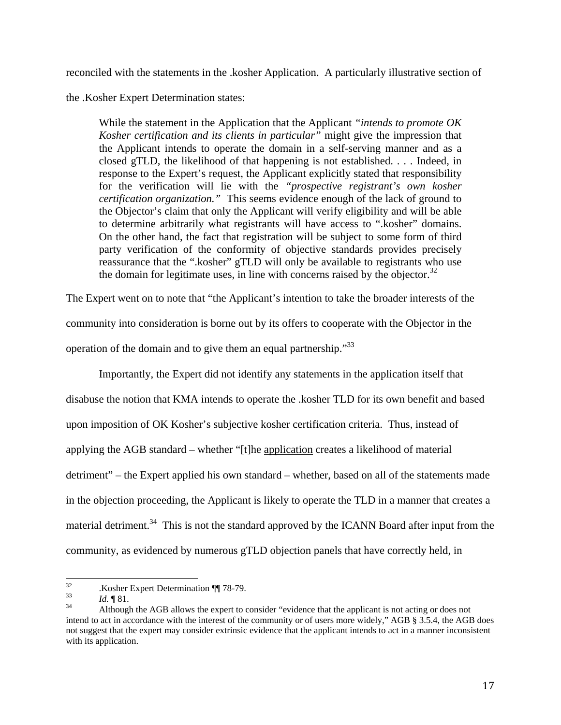reconciled with the statements in the .kosher Application. A particularly illustrative section of

the .Kosher Expert Determination states:

While the statement in the Application that the Applicant *"intends to promote OK Kosher certification and its clients in particular"* might give the impression that the Applicant intends to operate the domain in a self-serving manner and as a closed gTLD, the likelihood of that happening is not established. . . . Indeed, in response to the Expert's request, the Applicant explicitly stated that responsibility for the verification will lie with the *"prospective registrant's own kosher certification organization."* This seems evidence enough of the lack of ground to the Objector's claim that only the Applicant will verify eligibility and will be able to determine arbitrarily what registrants will have access to ".kosher" domains. On the other hand, the fact that registration will be subject to some form of third party verification of the conformity of objective standards provides precisely reassurance that the ".kosher" gTLD will only be available to registrants who use the domain for legitimate uses, in line with concerns raised by the objector.<sup>32</sup>

The Expert went on to note that "the Applicant's intention to take the broader interests of the community into consideration is borne out by its offers to cooperate with the Objector in the operation of the domain and to give them an equal partnership."33

 Importantly, the Expert did not identify any statements in the application itself that disabuse the notion that KMA intends to operate the .kosher TLD for its own benefit and based upon imposition of OK Kosher's subjective kosher certification criteria. Thus, instead of applying the AGB standard – whether "[t]he application creates a likelihood of material detriment" – the Expert applied his own standard – whether, based on all of the statements made in the objection proceeding, the Applicant is likely to operate the TLD in a manner that creates a material detriment.<sup>34</sup> This is not the standard approved by the ICANN Board after input from the community, as evidenced by numerous gTLD objection panels that have correctly held, in

 $\frac{32}{33}$  . Kosher Expert Determination ¶ 78-79.

<sup>&</sup>lt;sup>33</sup>*Id.* <sup>¶</sup> 81.<br><sup>34</sup> Although the AGB allows the expert to consider "evidence that the applicant is not acting or does not intend to act in accordance with the interest of the community or of users more widely," AGB § 3.5.4, the AGB does not suggest that the expert may consider extrinsic evidence that the applicant intends to act in a manner inconsistent with its application.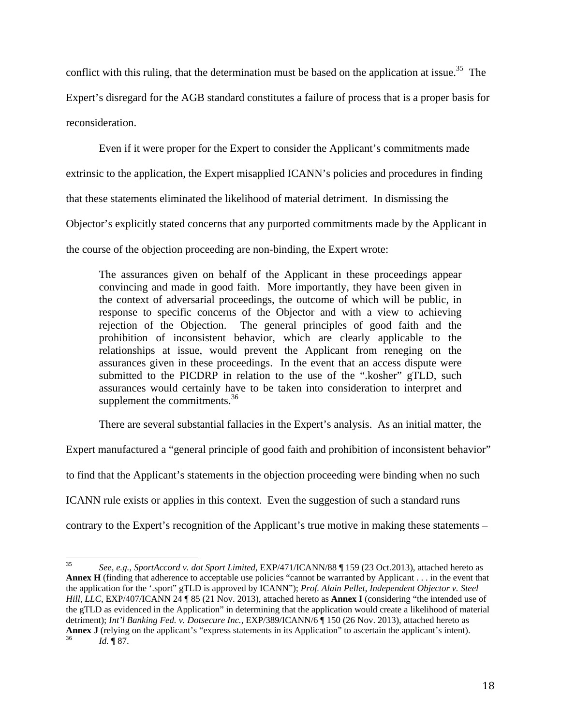conflict with this ruling, that the determination must be based on the application at issue.<sup>35</sup> The

Expert's disregard for the AGB standard constitutes a failure of process that is a proper basis for reconsideration.

 Even if it were proper for the Expert to consider the Applicant's commitments made extrinsic to the application, the Expert misapplied ICANN's policies and procedures in finding

that these statements eliminated the likelihood of material detriment. In dismissing the

Objector's explicitly stated concerns that any purported commitments made by the Applicant in

the course of the objection proceeding are non-binding, the Expert wrote:

The assurances given on behalf of the Applicant in these proceedings appear convincing and made in good faith. More importantly, they have been given in the context of adversarial proceedings, the outcome of which will be public, in response to specific concerns of the Objector and with a view to achieving rejection of the Objection. The general principles of good faith and the prohibition of inconsistent behavior, which are clearly applicable to the relationships at issue, would prevent the Applicant from reneging on the assurances given in these proceedings. In the event that an access dispute were submitted to the PICDRP in relation to the use of the ".kosher" gTLD, such assurances would certainly have to be taken into consideration to interpret and supplement the commitments.<sup>36</sup>

There are several substantial fallacies in the Expert's analysis. As an initial matter, the

Expert manufactured a "general principle of good faith and prohibition of inconsistent behavior"

to find that the Applicant's statements in the objection proceeding were binding when no such

ICANN rule exists or applies in this context. Even the suggestion of such a standard runs

contrary to the Expert's recognition of the Applicant's true motive in making these statements –

 35 *See, e.g.*, *SportAccord v. dot Sport Limited*, EXP/471/ICANN/88 ¶ 159 (23 Oct.2013), attached hereto as **Annex H** (finding that adherence to acceptable use policies "cannot be warranted by Applicant . . . in the event that the application for the '.sport" gTLD is approved by ICANN"); *Prof. Alain Pellet, Independent Objector v. Steel Hill, LLC*, EXP/407/ICANN 24 ¶ 85 (21 Nov. 2013), attached hereto as **Annex I** (considering "the intended use of the gTLD as evidenced in the Application" in determining that the application would create a likelihood of material detriment); *Int'l Banking Fed. v. Dotsecure Inc.*, EXP/389/ICANN/6 ¶ 150 (26 Nov. 2013), attached hereto as **Annex J** (relying on the applicant's "express statements in its Application" to ascertain the applicant's intent). *Id.* ¶ 87.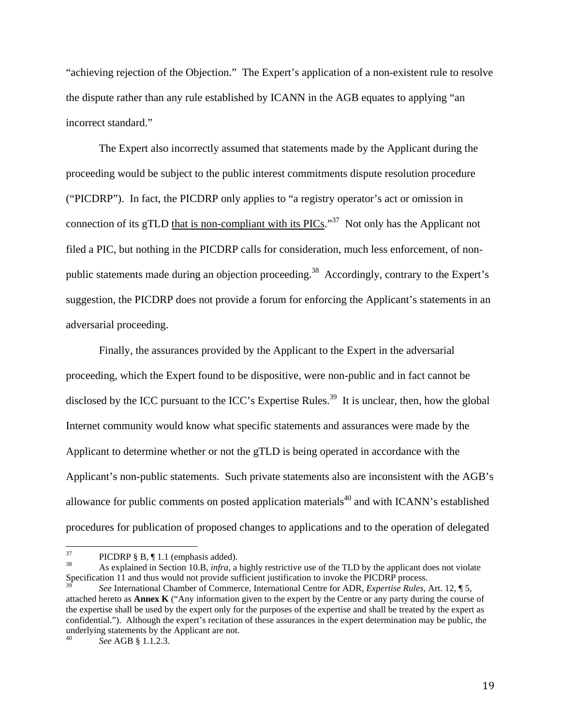"achieving rejection of the Objection." The Expert's application of a non-existent rule to resolve the dispute rather than any rule established by ICANN in the AGB equates to applying "an incorrect standard."

 The Expert also incorrectly assumed that statements made by the Applicant during the proceeding would be subject to the public interest commitments dispute resolution procedure ("PICDRP"). In fact, the PICDRP only applies to "a registry operator's act or omission in connection of its gTLD that is non-compliant with its  $PICs$ .<sup>37</sup> Not only has the Applicant not filed a PIC, but nothing in the PICDRP calls for consideration, much less enforcement, of nonpublic statements made during an objection proceeding.<sup>38</sup> Accordingly, contrary to the Expert's suggestion, the PICDRP does not provide a forum for enforcing the Applicant's statements in an adversarial proceeding.

 Finally, the assurances provided by the Applicant to the Expert in the adversarial proceeding, which the Expert found to be dispositive, were non-public and in fact cannot be disclosed by the ICC pursuant to the ICC's Expertise Rules.<sup>39</sup> It is unclear, then, how the global Internet community would know what specific statements and assurances were made by the Applicant to determine whether or not the gTLD is being operated in accordance with the Applicant's non-public statements. Such private statements also are inconsistent with the AGB's allowance for public comments on posted application materials<sup>40</sup> and with ICANN's established procedures for publication of proposed changes to applications and to the operation of delegated

<sup>&</sup>lt;sup>37</sup> PICDRP § B, ¶ 1.1 (emphasis added).

<sup>38</sup> As explained in Section 10.B, *infra*, a highly restrictive use of the TLD by the applicant does not violate Specification 11 and thus would not provide sufficient justification to invoke the PICDRP process.

<sup>39</sup> *See* International Chamber of Commerce, International Centre for ADR, *Expertise Rules*, Art. 12, ¶ 5, attached hereto as **Annex K** ("Any information given to the expert by the Centre or any party during the course of the expertise shall be used by the expert only for the purposes of the expertise and shall be treated by the expert as confidential."). Although the expert's recitation of these assurances in the expert determination may be public, the underlying statements by the Applicant are not.

<sup>40</sup> *See* AGB § 1.1.2.3.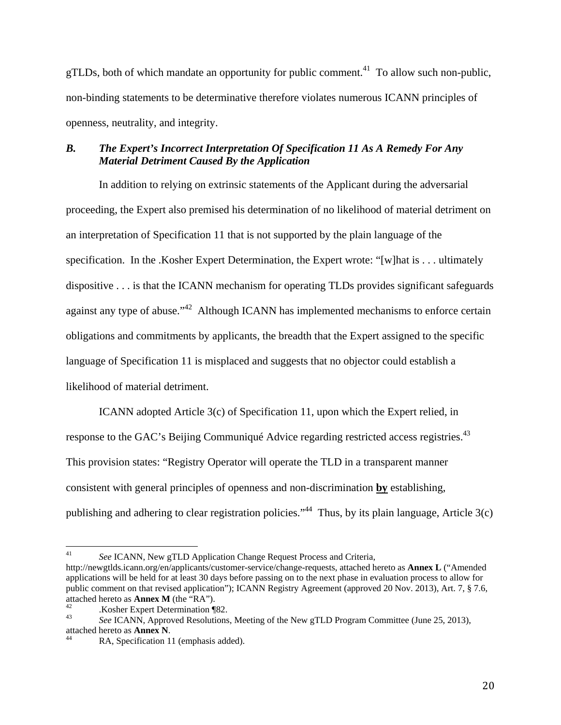gTLDs, both of which mandate an opportunity for public comment.<sup>41</sup> To allow such non-public, non-binding statements to be determinative therefore violates numerous ICANN principles of openness, neutrality, and integrity.

# *B. The Expert's Incorrect Interpretation Of Specification 11 As A Remedy For Any Material Detriment Caused By the Application*

 In addition to relying on extrinsic statements of the Applicant during the adversarial proceeding, the Expert also premised his determination of no likelihood of material detriment on an interpretation of Specification 11 that is not supported by the plain language of the specification. In the .Kosher Expert Determination, the Expert wrote: "[w]hat is . . . ultimately dispositive . . . is that the ICANN mechanism for operating TLDs provides significant safeguards against any type of abuse."<sup>42</sup> Although ICANN has implemented mechanisms to enforce certain obligations and commitments by applicants, the breadth that the Expert assigned to the specific language of Specification 11 is misplaced and suggests that no objector could establish a likelihood of material detriment.

 ICANN adopted Article 3(c) of Specification 11, upon which the Expert relied, in response to the GAC's Beijing Communiqué Advice regarding restricted access registries.<sup>43</sup> This provision states: "Registry Operator will operate the TLD in a transparent manner consistent with general principles of openness and non-discrimination **by** establishing, publishing and adhering to clear registration policies."<sup>44</sup> Thus, by its plain language, Article  $3(c)$ 

<sup>41</sup> *See* ICANN, New gTLD Application Change Request Process and Criteria,

http://newgtlds.icann.org/en/applicants/customer-service/change-requests, attached hereto as **Annex L** ("Amended applications will be held for at least 30 days before passing on to the next phase in evaluation process to allow for public comment on that revised application"); ICANN Registry Agreement (approved 20 Nov. 2013), Art. 7, § 7.6,

attached hereto as **Annex M** (the "RA").<br><sup>42</sup> .Kosher Expert Determination ¶82.<br><sup>43</sup> .Kosher Expert Determination ¶82.

<sup>43</sup> *See* ICANN, Approved Resolutions, Meeting of the New gTLD Program Committee (June 25, 2013), attached hereto as **Annex N**.<br><sup>44</sup> RA, Specification 11 (emphasis added).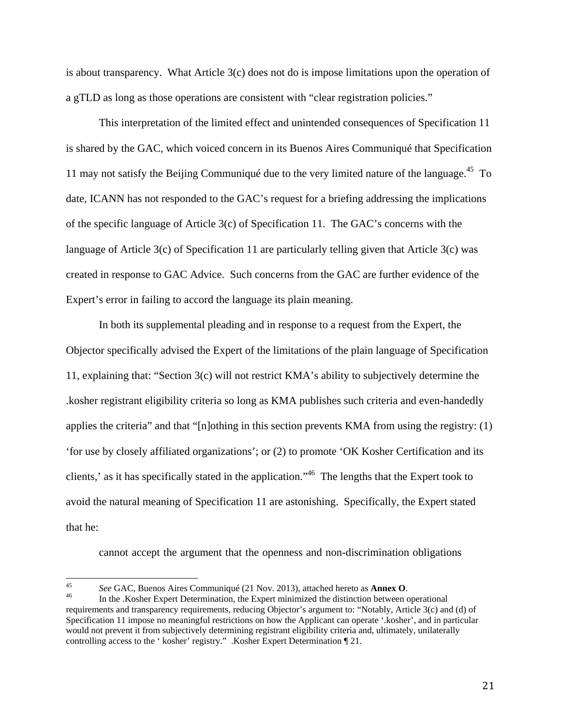is about transparency. What Article 3(c) does not do is impose limitations upon the operation of a gTLD as long as those operations are consistent with "clear registration policies."

 This interpretation of the limited effect and unintended consequences of Specification 11 is shared by the GAC, which voiced concern in its Buenos Aires Communiqué that Specification 11 may not satisfy the Beijing Communiqué due to the very limited nature of the language.<sup>45</sup> To date, ICANN has not responded to the GAC's request for a briefing addressing the implications of the specific language of Article 3(c) of Specification 11. The GAC's concerns with the language of Article 3(c) of Specification 11 are particularly telling given that Article 3(c) was created in response to GAC Advice. Such concerns from the GAC are further evidence of the Expert's error in failing to accord the language its plain meaning.

 In both its supplemental pleading and in response to a request from the Expert, the Objector specifically advised the Expert of the limitations of the plain language of Specification 11, explaining that: "Section 3(c) will not restrict KMA's ability to subjectively determine the .kosher registrant eligibility criteria so long as KMA publishes such criteria and even-handedly applies the criteria" and that "[n]othing in this section prevents KMA from using the registry: (1) 'for use by closely affiliated organizations'; or (2) to promote 'OK Kosher Certification and its clients,' as it has specifically stated in the application."46 The lengths that the Expert took to avoid the natural meaning of Specification 11 are astonishing. Specifically, the Expert stated that he:

cannot accept the argument that the openness and non-discrimination obligations

<sup>&</sup>lt;sup>45</sup> See GAC, Buenos Aires Communiqué (21 Nov. 2013), attached hereto as **Annex O**.<br><sup>46</sup> In the .Kosher Expert Determination, the Expert minimized the distinction between operational

requirements and transparency requirements, reducing Objector's argument to: "Notably, Article 3(c) and (d) of Specification 11 impose no meaningful restrictions on how the Applicant can operate '.kosher', and in particular would not prevent it from subjectively determining registrant eligibility criteria and, ultimately, unilaterally controlling access to the ' kosher' registry." .Kosher Expert Determination ¶ 21.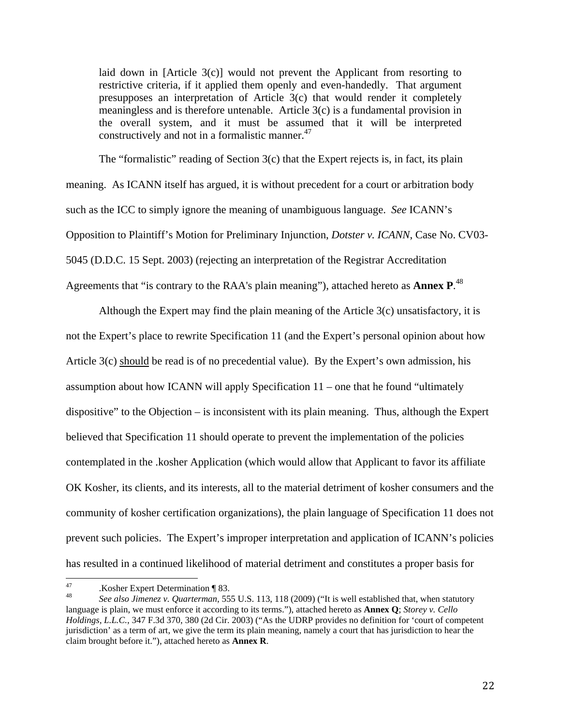laid down in [Article 3(c)] would not prevent the Applicant from resorting to restrictive criteria, if it applied them openly and even-handedly. That argument presupposes an interpretation of Article 3(c) that would render it completely meaningless and is therefore untenable. Article 3(c) is a fundamental provision in the overall system, and it must be assumed that it will be interpreted constructively and not in a formalistic manner.<sup>47</sup>

The "formalistic" reading of Section  $3(c)$  that the Expert rejects is, in fact, its plain meaning. As ICANN itself has argued, it is without precedent for a court or arbitration body such as the ICC to simply ignore the meaning of unambiguous language. *See* ICANN's Opposition to Plaintiff's Motion for Preliminary Injunction, *Dotster v. ICANN*, Case No. CV03- 5045 (D.D.C. 15 Sept. 2003) (rejecting an interpretation of the Registrar Accreditation Agreements that "is contrary to the RAA's plain meaning"), attached hereto as **Annex P**. 48

Although the Expert may find the plain meaning of the Article 3(c) unsatisfactory, it is not the Expert's place to rewrite Specification 11 (and the Expert's personal opinion about how Article 3(c) should be read is of no precedential value). By the Expert's own admission, his assumption about how ICANN will apply Specification 11 – one that he found "ultimately dispositive" to the Objection – is inconsistent with its plain meaning. Thus, although the Expert believed that Specification 11 should operate to prevent the implementation of the policies contemplated in the .kosher Application (which would allow that Applicant to favor its affiliate OK Kosher, its clients, and its interests, all to the material detriment of kosher consumers and the community of kosher certification organizations), the plain language of Specification 11 does not prevent such policies. The Expert's improper interpretation and application of ICANN's policies has resulted in a continued likelihood of material detriment and constitutes a proper basis for

<sup>47 .</sup>Kosher Expert Determination ¶ 83.

<sup>48</sup> *See also Jimenez v. Quarterman*, 555 U.S. 113, 118 (2009) ("It is well established that, when statutory language is plain, we must enforce it according to its terms."), attached hereto as **Annex Q**; *Storey v. Cello Holdings, L.L.C.*, 347 F.3d 370, 380 (2d Cir. 2003) ("As the UDRP provides no definition for 'court of competent jurisdiction' as a term of art, we give the term its plain meaning, namely a court that has jurisdiction to hear the claim brought before it."), attached hereto as **Annex R**.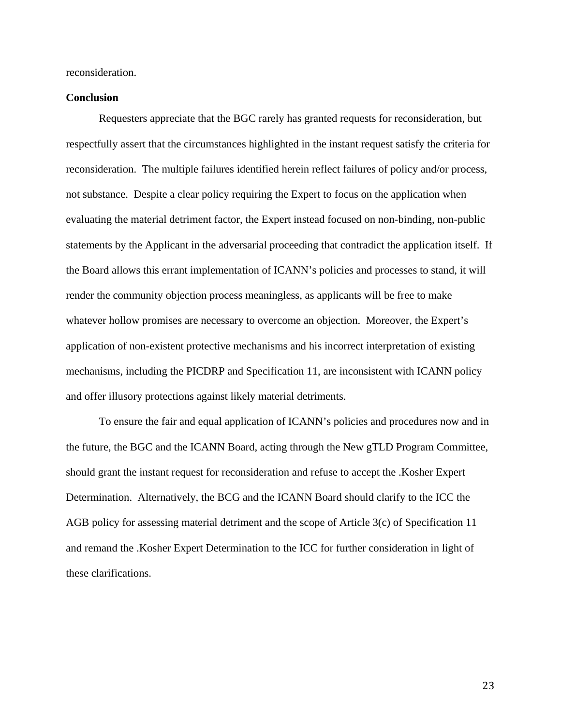reconsideration.

# **Conclusion**

 Requesters appreciate that the BGC rarely has granted requests for reconsideration, but respectfully assert that the circumstances highlighted in the instant request satisfy the criteria for reconsideration. The multiple failures identified herein reflect failures of policy and/or process, not substance. Despite a clear policy requiring the Expert to focus on the application when evaluating the material detriment factor, the Expert instead focused on non-binding, non-public statements by the Applicant in the adversarial proceeding that contradict the application itself. If the Board allows this errant implementation of ICANN's policies and processes to stand, it will render the community objection process meaningless, as applicants will be free to make whatever hollow promises are necessary to overcome an objection. Moreover, the Expert's application of non-existent protective mechanisms and his incorrect interpretation of existing mechanisms, including the PICDRP and Specification 11, are inconsistent with ICANN policy and offer illusory protections against likely material detriments.

 To ensure the fair and equal application of ICANN's policies and procedures now and in the future, the BGC and the ICANN Board, acting through the New gTLD Program Committee, should grant the instant request for reconsideration and refuse to accept the .Kosher Expert Determination. Alternatively, the BCG and the ICANN Board should clarify to the ICC the AGB policy for assessing material detriment and the scope of Article 3(c) of Specification 11 and remand the .Kosher Expert Determination to the ICC for further consideration in light of these clarifications.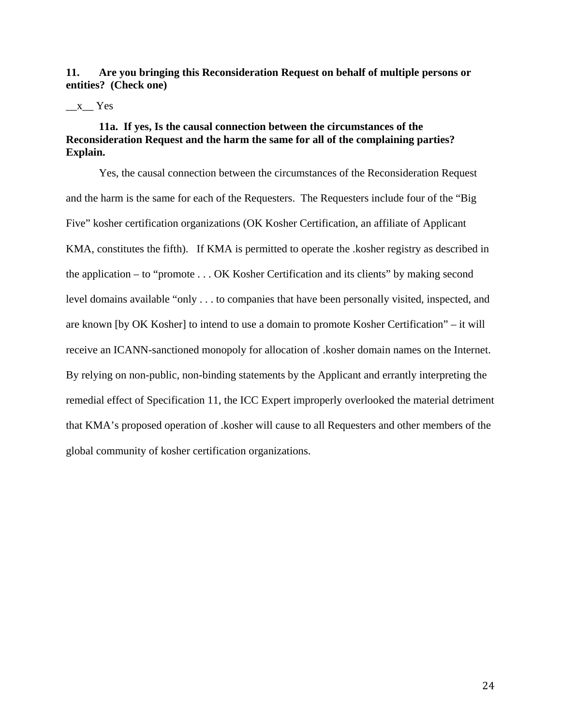**11. Are you bringing this Reconsideration Request on behalf of multiple persons or entities? (Check one)** 

#### $\_\ x$  Yes

# **11a. If yes, Is the causal connection between the circumstances of the Reconsideration Request and the harm the same for all of the complaining parties? Explain.**

Yes, the causal connection between the circumstances of the Reconsideration Request and the harm is the same for each of the Requesters. The Requesters include four of the "Big Five" kosher certification organizations (OK Kosher Certification, an affiliate of Applicant KMA, constitutes the fifth). If KMA is permitted to operate the .kosher registry as described in the application – to "promote . . . OK Kosher Certification and its clients" by making second level domains available "only . . . to companies that have been personally visited, inspected, and are known [by OK Kosher] to intend to use a domain to promote Kosher Certification" – it will receive an ICANN-sanctioned monopoly for allocation of .kosher domain names on the Internet. By relying on non-public, non-binding statements by the Applicant and errantly interpreting the remedial effect of Specification 11, the ICC Expert improperly overlooked the material detriment that KMA's proposed operation of .kosher will cause to all Requesters and other members of the global community of kosher certification organizations.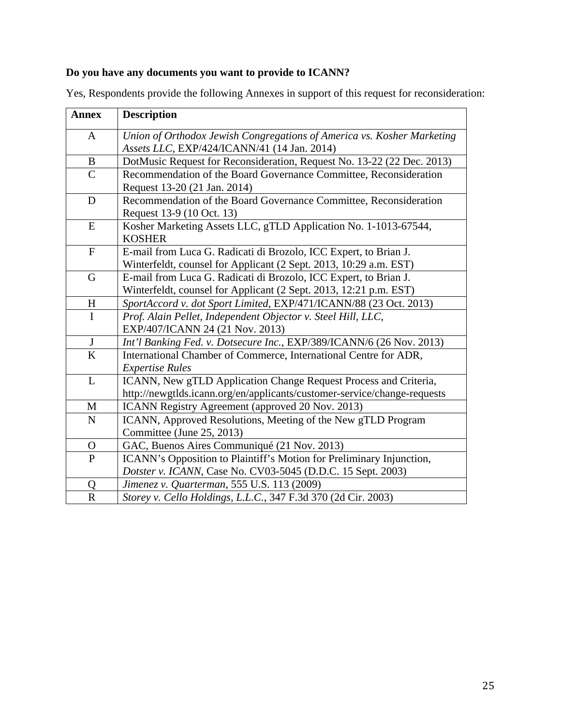# **Do you have any documents you want to provide to ICANN?**

| <b>Annex</b>            | <b>Description</b>                                                                                |
|-------------------------|---------------------------------------------------------------------------------------------------|
| A                       | Union of Orthodox Jewish Congregations of America vs. Kosher Marketing                            |
|                         | Assets LLC, EXP/424/ICANN/41 (14 Jan. 2014)                                                       |
| B                       | DotMusic Request for Reconsideration, Request No. 13-22 (22 Dec. 2013)                            |
| $\mathcal{C}$           | Recommendation of the Board Governance Committee, Reconsideration<br>Request 13-20 (21 Jan. 2014) |
| D                       | Recommendation of the Board Governance Committee, Reconsideration                                 |
|                         | Request 13-9 (10 Oct. 13)                                                                         |
| E                       | Kosher Marketing Assets LLC, gTLD Application No. 1-1013-67544,                                   |
|                         | <b>KOSHER</b>                                                                                     |
| ${\bf F}$               | E-mail from Luca G. Radicati di Brozolo, ICC Expert, to Brian J.                                  |
|                         | Winterfeldt, counsel for Applicant (2 Sept. 2013, 10:29 a.m. EST)                                 |
| G                       | E-mail from Luca G. Radicati di Brozolo, ICC Expert, to Brian J.                                  |
|                         | Winterfeldt, counsel for Applicant (2 Sept. 2013, 12:21 p.m. EST)                                 |
| H                       | SportAccord v. dot Sport Limited, EXP/471/ICANN/88 (23 Oct. 2013)                                 |
| I                       | Prof. Alain Pellet, Independent Objector v. Steel Hill, LLC,                                      |
|                         | EXP/407/ICANN 24 (21 Nov. 2013)                                                                   |
| $\mathbf{J}$            | Int'l Banking Fed. v. Dotsecure Inc., EXP/389/ICANN/6 (26 Nov. 2013)                              |
| $\overline{\mathbf{K}}$ | International Chamber of Commerce, International Centre for ADR,                                  |
|                         | <b>Expertise Rules</b>                                                                            |
| L                       | ICANN, New gTLD Application Change Request Process and Criteria,                                  |
|                         | http://newgtlds.icann.org/en/applicants/customer-service/change-requests                          |
| M                       | ICANN Registry Agreement (approved 20 Nov. 2013)                                                  |
| $\mathbf N$             | ICANN, Approved Resolutions, Meeting of the New gTLD Program                                      |
|                         | Committee (June 25, 2013)                                                                         |
| O                       | GAC, Buenos Aires Communiqué (21 Nov. 2013)                                                       |
| $\mathbf{P}$            | ICANN's Opposition to Plaintiff's Motion for Preliminary Injunction,                              |
|                         | Dotster v. ICANN, Case No. CV03-5045 (D.D.C. 15 Sept. 2003)                                       |
| Q                       | Jimenez v. Quarterman, 555 U.S. 113 (2009)                                                        |
| $\mathbf R$             | Storey v. Cello Holdings, L.L.C., 347 F.3d 370 (2d Cir. 2003)                                     |

Yes, Respondents provide the following Annexes in support of this request for reconsideration: